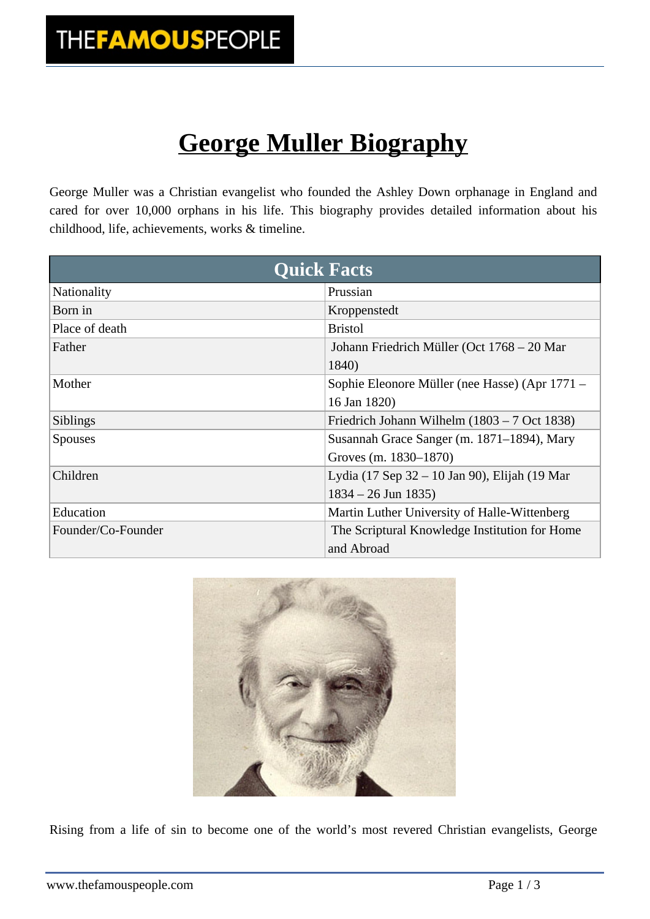## **George Muller Biography**

George Muller was a Christian evangelist who founded the Ashley Down orphanage in England and cared for over 10,000 orphans in his life. This biography provides detailed information about his childhood, life, achievements, works & timeline.

|                    | <b>Quick Facts</b>                             |
|--------------------|------------------------------------------------|
| Nationality        | Prussian                                       |
| Born in            | Kroppenstedt                                   |
| Place of death     | <b>Bristol</b>                                 |
| Father             | Johann Friedrich Müller (Oct 1768 – 20 Mar     |
|                    | 1840)                                          |
| Mother             | Sophie Eleonore Müller (nee Hasse) (Apr 1771 – |
|                    | 16 Jan 1820)                                   |
| <b>Siblings</b>    | Friedrich Johann Wilhelm $(1803 – 7 Oct 1838)$ |
| <b>Spouses</b>     | Susannah Grace Sanger (m. 1871–1894), Mary     |
|                    | Groves (m. 1830–1870)                          |
| Children           | Lydia (17 Sep 32 – 10 Jan 90), Elijah (19 Mar  |
|                    | $1834 - 26$ Jun 1835)                          |
| Education          | Martin Luther University of Halle-Wittenberg   |
| Founder/Co-Founder | The Scriptural Knowledge Institution for Home  |
|                    | and Abroad                                     |



Rising from a life of sin to become one of the world's most revered Christian evangelists, George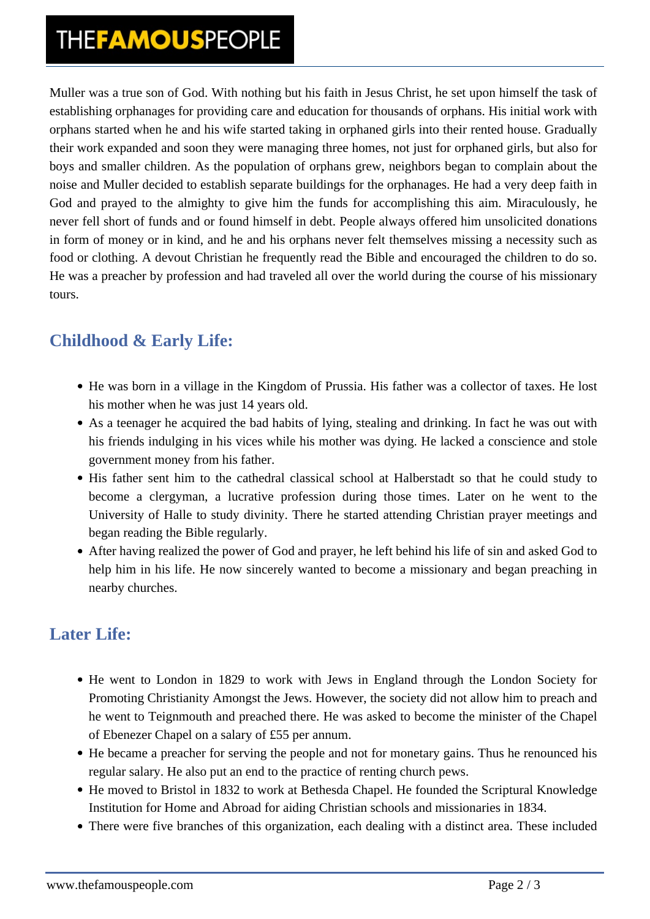## THE**FAMOUS**PEOPLE

Muller was a true son of God. With nothing but his faith in Jesus Christ, he set upon himself the task of establishing orphanages for providing care and education for thousands of orphans. His initial work with orphans started when he and his wife started taking in orphaned girls into their rented house. Gradually their work expanded and soon they were managing three homes, not just for orphaned girls, but also for boys and smaller children. As the population of orphans grew, neighbors began to complain about the noise and Muller decided to establish separate buildings for the orphanages. He had a very deep faith in God and prayed to the almighty to give him the funds for accomplishing this aim. Miraculously, he never fell short of funds and or found himself in debt. People always offered him unsolicited donations in form of money or in kind, and he and his orphans never felt themselves missing a necessity such as food or clothing. A devout Christian he frequently read the Bible and encouraged the children to do so. He was a preacher by profession and had traveled all over the world during the course of his missionary tours.

### **Childhood & Early Life:**

- He was born in a village in the Kingdom of Prussia. His father was a collector of taxes. He lost his mother when he was just 14 years old.
- As a teenager he acquired the bad habits of lying, stealing and drinking. In fact he was out with his friends indulging in his vices while his mother was dying. He lacked a conscience and stole government money from his father.
- His father sent him to the cathedral classical school at Halberstadt so that he could study to become a clergyman, a lucrative profession during those times. Later on he went to the University of Halle to study divinity. There he started attending Christian prayer meetings and began reading the Bible regularly.
- After having realized the power of God and prayer, he left behind his life of sin and asked God to help him in his life. He now sincerely wanted to become a missionary and began preaching in nearby churches.

### **Later Life:**

- He went to London in 1829 to work with Jews in England through the London Society for Promoting Christianity Amongst the Jews. However, the society did not allow him to preach and he went to Teignmouth and preached there. He was asked to become the minister of the Chapel of Ebenezer Chapel on a salary of £55 per annum.
- He became a preacher for serving the people and not for monetary gains. Thus he renounced his regular salary. He also put an end to the practice of renting church pews.
- He moved to Bristol in 1832 to work at Bethesda Chapel. He founded the Scriptural Knowledge Institution for Home and Abroad for aiding Christian schools and missionaries in 1834.
- There were five branches of this organization, each dealing with a distinct area. These included